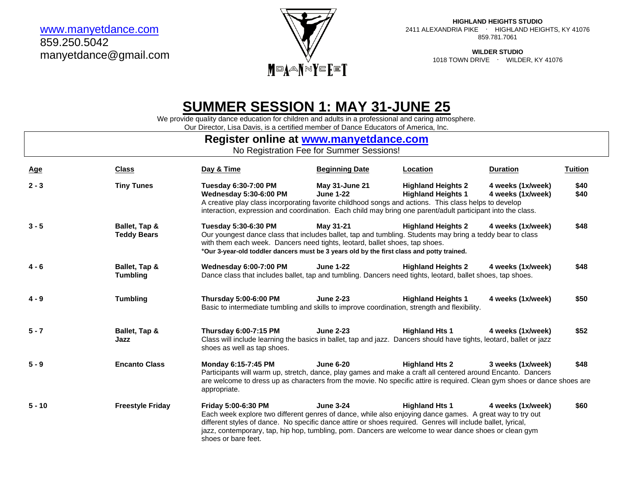[www.manyetdance.com](http://www.manyetdance.com/) 859.250.5042 manyetdance@gmail.com



**HIGHLAND HEIGHTS STUDIO** 2411 ALEXANDRIA PIKE ∙ HIGHLAND HEIGHTS, KY 41076 859.781.7061

> **WILDER STUDIO** 1018 TOWN DRIVE ∙ WILDER, KY 41076

# **SUMMER SESSION 1: MAY 31-JUNE 25**

We provide quality dance education for children and adults in a professional and caring atmosphere.

Our Director, Lisa Davis, is a certified member of Dance Educators of America, Inc.

## **Register online at [www.manyetdance.com](http://www.manyetdance.com/)** No Registration Fee for Summer Sessions! **Age Class Day & Time Beginning Date Location Duration Tuition 2 - 3 Tiny Tunes Tuesday 6:30-7:00 PM May 31-June 21 Highland Heights 2 4 weeks (1x/week) \$40 Wednesday 5:30-6:00 PM June 1-22 Highland Heights 1 4 weeks (1x/week) \$40** A creative play class incorporating favorite childhood songs and actions. This class helps to develop interaction, expression and coordination. Each child may bring one parent/adult participant into the class.

|          |                              | interaction, expression and coordination. Each child may bring one parent/adult participant into the class.                                                                                                                                                                                                   |                  |                           |                   |      |
|----------|------------------------------|---------------------------------------------------------------------------------------------------------------------------------------------------------------------------------------------------------------------------------------------------------------------------------------------------------------|------------------|---------------------------|-------------------|------|
| $3 - 5$  | Ballet, Tap &<br>Teddy Bears | Tuesday 5:30-6:30 PM<br>Our youngest dance class that includes ballet, tap and tumbling. Students may bring a teddy bear to class<br>with them each week. Dancers need tights, leotard, ballet shoes, tap shoes.<br>*Our 3-year-old toddler dancers must be 3 years old by the first class and potty trained. | May 31-21        | <b>Highland Heights 2</b> | 4 weeks (1x/week) | \$48 |
| $4 - 6$  | Ballet, Tap &<br>Tumbling    | <b>Wednesday 6:00-7:00 PM</b><br>Dance class that includes ballet, tap and tumbling. Dancers need tights, leotard, ballet shoes, tap shoes.                                                                                                                                                                   | <b>June 1-22</b> | <b>Highland Heights 2</b> | 4 weeks (1x/week) | \$48 |
| $4 - 9$  | <b>Tumbling</b>              | <b>Thursday 5:00-6:00 PM</b><br>Basic to intermediate tumbling and skills to improve coordination, strength and flexibility.                                                                                                                                                                                  | <b>June 2-23</b> | <b>Highland Heights 1</b> | 4 weeks (1x/week) | \$50 |
| $5 - 7$  | Ballet, Tap &<br>Jazz        | Thursday 6:00-7:15 PM<br>Class will include learning the basics in ballet, tap and jazz. Dancers should have tights, leotard, ballet or jazz<br>shoes as well as tap shoes.                                                                                                                                   | <b>June 2-23</b> | <b>Highland Hts 1</b>     | 4 weeks (1x/week) | \$52 |
| $5 - 9$  | <b>Encanto Class</b>         | Monday 6:15-7:45 PM<br>Participants will warm up, stretch, dance, play games and make a craft all centered around Encanto. Dancers<br>are welcome to dress up as characters from the movie. No specific attire is required. Clean gym shoes or dance shoes are<br>appropriate.                                | <b>June 6-20</b> | <b>Highland Hts 2</b>     | 3 weeks (1x/week) | \$48 |
| $5 - 10$ | <b>Freestyle Friday</b>      | <b>Friday 5:00-6:30 PM</b><br>Each week explore two different genres of dance, while also enjoying dance games. A great way to try out<br>different styles of dance. No specific dance attire or shoes required. Genres will include ballet, Ivrical,                                                         | <b>June 3-24</b> | <b>Highland Hts 1</b>     | 4 weeks (1x/week) | \$60 |

different styles of dance. No specific dance attire or shoes required. Genres will include ballet, lyrical, jazz, contemporary, tap, hip hop, tumbling, pom. Dancers are welcome to wear dance shoes or clean gym shoes or bare feet.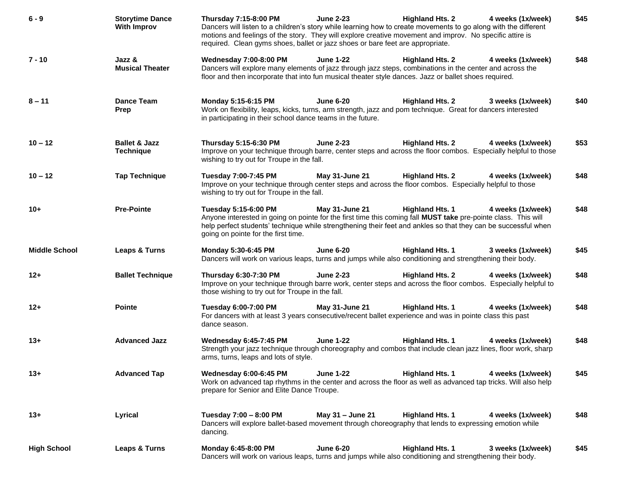| $6 - 9$              | <b>Storytime Dance</b><br><b>With Improv</b> | <b>Highland Hts. 2</b><br>Thursday 7:15-8:00 PM<br><b>June 2-23</b><br>4 weeks (1x/week)<br>Dancers will listen to a children's story while learning how to create movements to go along with the different<br>motions and feelings of the story. They will explore creative movement and improv. No specific attire is<br>required. Clean gyms shoes, ballet or jazz shoes or bare feet are appropriate. | \$45 |
|----------------------|----------------------------------------------|-----------------------------------------------------------------------------------------------------------------------------------------------------------------------------------------------------------------------------------------------------------------------------------------------------------------------------------------------------------------------------------------------------------|------|
| $7 - 10$             | Jazz &<br><b>Musical Theater</b>             | <b>Wednesday 7:00-8:00 PM</b><br><b>June 1-22</b><br><b>Highland Hts. 2</b><br>4 weeks (1x/week)<br>Dancers will explore many elements of jazz through jazz steps, combinations in the center and across the<br>floor and then incorporate that into fun musical theater style dances. Jazz or ballet shoes required.                                                                                     | \$48 |
| $8 - 11$             | <b>Dance Team</b><br>Prep                    | Monday 5:15-6:15 PM<br><b>June 6-20</b><br><b>Highland Hts. 2</b><br>3 weeks (1x/week)<br>Work on flexibility, leaps, kicks, turns, arm strength, jazz and pom technique. Great for dancers interested<br>in participating in their school dance teams in the future.                                                                                                                                     | \$40 |
| $10 - 12$            | <b>Ballet &amp; Jazz</b><br><b>Technique</b> | Thursday 5:15-6:30 PM<br><b>June 2-23</b><br><b>Highland Hts. 2</b><br>4 weeks (1x/week)<br>Improve on your technique through barre, center steps and across the floor combos. Especially helpful to those<br>wishing to try out for Troupe in the fall.                                                                                                                                                  | \$53 |
| $10 - 12$            | <b>Tap Technique</b>                         | Tuesday 7:00-7:45 PM<br>May 31-June 21<br><b>Highland Hts. 2</b><br>4 weeks (1x/week)<br>Improve on your technique through center steps and across the floor combos. Especially helpful to those<br>wishing to try out for Troupe in the fall.                                                                                                                                                            | \$48 |
| $10+$                | <b>Pre-Pointe</b>                            | May 31-June 21<br><b>Highland Hts. 1</b><br>Tuesday 5:15-6:00 PM<br>4 weeks (1x/week)<br>Anyone interested in going on pointe for the first time this coming fall MUST take pre-pointe class. This will<br>help perfect students' technique while strengthening their feet and ankles so that they can be successful when<br>going on pointe for the first time.                                          | \$48 |
| <b>Middle School</b> | Leaps & Turns                                | Monday 5:30-6:45 PM<br><b>June 6-20</b><br><b>Highland Hts. 1</b><br>3 weeks (1x/week)<br>Dancers will work on various leaps, turns and jumps while also conditioning and strengthening their body.                                                                                                                                                                                                       | \$45 |
| $12+$                | <b>Ballet Technique</b>                      | Thursday 6:30-7:30 PM<br><b>June 2-23</b><br><b>Highland Hts. 2</b><br>4 weeks (1x/week)<br>Improve on your technique through barre work, center steps and across the floor combos. Especially helpful to<br>those wishing to try out for Troupe in the fall.                                                                                                                                             | \$48 |
| $12+$                | <b>Pointe</b>                                | Tuesday 6:00-7:00 PM<br>May 31-June 21<br><b>Highland Hts. 1</b><br>4 weeks (1x/week)<br>For dancers with at least 3 years consecutive/recent ballet experience and was in pointe class this past<br>dance season.                                                                                                                                                                                        | \$48 |
| $13+$                | <b>Advanced Jazz</b>                         | Wednesday 6:45-7:45 PM<br><b>June 1-22</b><br><b>Highland Hts. 1</b><br>4 weeks (1x/week)<br>Strength your jazz technique through choreography and combos that include clean jazz lines, floor work, sharp<br>arms, turns, leaps and lots of style.                                                                                                                                                       | \$48 |
| $13+$                | <b>Advanced Tap</b>                          | Wednesday 6:00-6:45 PM June 1-22<br>Highland Hts. 1 4 weeks (1x/week)<br>Work on advanced tap rhythms in the center and across the floor as well as advanced tap tricks. Will also help<br>prepare for Senior and Elite Dance Troupe.                                                                                                                                                                     | \$45 |
| $13+$                | Lyrical                                      | Tuesday 7:00 - 8:00 PM<br>May 31 - June 21<br><b>Highland Hts. 1</b><br>4 weeks (1x/week)<br>Dancers will explore ballet-based movement through choreography that lends to expressing emotion while<br>dancing.                                                                                                                                                                                           | \$48 |
| <b>High School</b>   | Leaps & Turns                                | <b>Highland Hts. 1</b><br>Monday 6:45-8:00 PM<br><b>June 6-20</b><br>3 weeks (1x/week)<br>Dancers will work on various leaps, turns and jumps while also conditioning and strengthening their body.                                                                                                                                                                                                       | \$45 |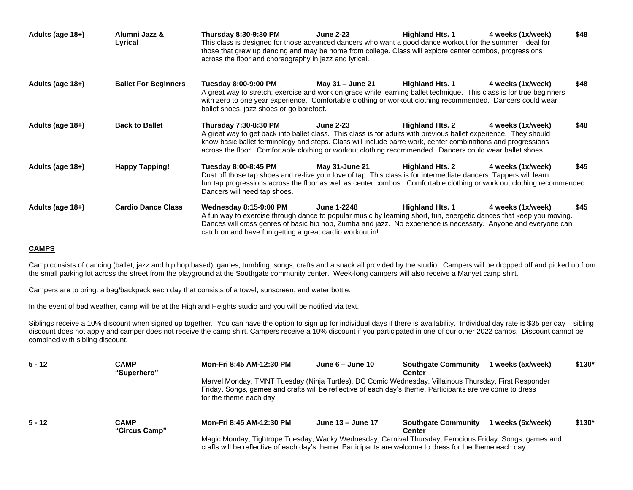| Adults (age 18+) | Alumni Jazz &<br>Lyrical    | <b>Thursday 8:30-9:30 PM</b><br>This class is designed for those advanced dancers who want a good dance workout for the summer. Ideal for<br>those that grew up dancing and may be home from college. Class will explore center combos, progressions<br>across the floor and choreography in jazz and lyrical.                                                        | <b>June 2-23</b>   | <b>Highland Hts. 1</b> | 4 weeks (1x/week) | \$48 |
|------------------|-----------------------------|-----------------------------------------------------------------------------------------------------------------------------------------------------------------------------------------------------------------------------------------------------------------------------------------------------------------------------------------------------------------------|--------------------|------------------------|-------------------|------|
| Adults (age 18+) | <b>Ballet For Beginners</b> | Tuesday 8:00-9:00 PM<br>A great way to stretch, exercise and work on grace while learning ballet technique. This class is for true beginners<br>with zero to one year experience. Comfortable clothing or workout clothing recommended. Dancers could wear<br>ballet shoes, jazz shoes or go barefoot.                                                                | May 31 - June 21   | <b>Highland Hts. 1</b> | 4 weeks (1x/week) | \$48 |
| Adults (age 18+) | <b>Back to Ballet</b>       | Thursday 7:30-8:30 PM<br>A great way to get back into ballet class. This class is for adults with previous ballet experience. They should<br>know basic ballet terminology and steps. Class will include barre work, center combinations and progressions<br>across the floor. Comfortable clothing or workout clothing recommended. Dancers could wear ballet shoes. | <b>June 2-23</b>   | <b>Highland Hts. 2</b> | 4 weeks (1x/week) | \$48 |
| Adults (age 18+) | <b>Happy Tapping!</b>       | Tuesday 8:00-8:45 PM<br>Dust off those tap shoes and re-live your love of tap. This class is for intermediate dancers. Tappers will learn<br>fun tap progressions across the floor as well as center combos. Comfortable clothing or work out clothing recommended.<br>Dancers will need tap shoes.                                                                   | May 31-June 21     | <b>Highland Hts. 2</b> | 4 weeks (1x/week) | \$45 |
| Adults (age 18+) | <b>Cardio Dance Class</b>   | <b>Wednesday 8:15-9:00 PM</b><br>A fun way to exercise through dance to popular music by learning short, fun, energetic dances that keep you moving.<br>Dances will cross genres of basic hip hop, Zumba and jazz. No experience is necessary. Anyone and everyone can<br>catch on and have fun getting a great cardio workout in!                                    | <b>June 1-2248</b> | <b>Highland Hts. 1</b> | 4 weeks (1x/week) | \$45 |

### **CAMPS**

Camp consists of dancing (ballet, jazz and hip hop based), games, tumbling, songs, crafts and a snack all provided by the studio. Campers will be dropped off and picked up from the small parking lot across the street from the playground at the Southgate community center. Week-long campers will also receive a Manyet camp shirt.

Campers are to bring: a bag/backpack each day that consists of a towel, sunscreen, and water bottle.

In the event of bad weather, camp will be at the Highland Heights studio and you will be notified via text.

Siblings receive a 10% discount when signed up together. You can have the option to sign up for individual days if there is availability. Individual day rate is \$35 per day – sibling discount does not apply and camper does not receive the camp shirt. Campers receive a 10% discount if you participated in one of our other 2022 camps. Discount cannot be combined with sibling discount.

| $5 - 12$ | <b>CAMP</b><br>"Superhero"   | Mon-Fri 8:45 AM-12:30 PM                                                                                                                                                                                                                      | June $6 -$ June 10                                                             | <b>Southgate Community</b><br><b>Center</b> | 1 weeks (5x/week) | $$130*$ |
|----------|------------------------------|-----------------------------------------------------------------------------------------------------------------------------------------------------------------------------------------------------------------------------------------------|--------------------------------------------------------------------------------|---------------------------------------------|-------------------|---------|
|          |                              | Marvel Monday, TMNT Tuesday (Ninja Turtles), DC Comic Wednesday, Villainous Thursday, First Responder<br>Friday. Songs, games and crafts will be reflective of each day's theme. Participants are welcome to dress<br>for the theme each day. |                                                                                |                                             |                   |         |
| $5 - 12$ | <b>CAMP</b><br>"Circus Camp" | Mon-Fri 8:45 AM-12:30 PM                                                                                                                                                                                                                      | June 13 – June 17<br><b>Southgate Community</b><br>1 weeks (5x/week)<br>Center |                                             |                   |         |
|          |                              | Magic Monday, Tightrope Tuesday, Wacky Wednesday, Carnival Thursday, Ferocious Friday. Songs, games and<br>crafts will be reflective of each day's theme. Participants are welcome to dress for the theme each day.                           |                                                                                |                                             |                   |         |